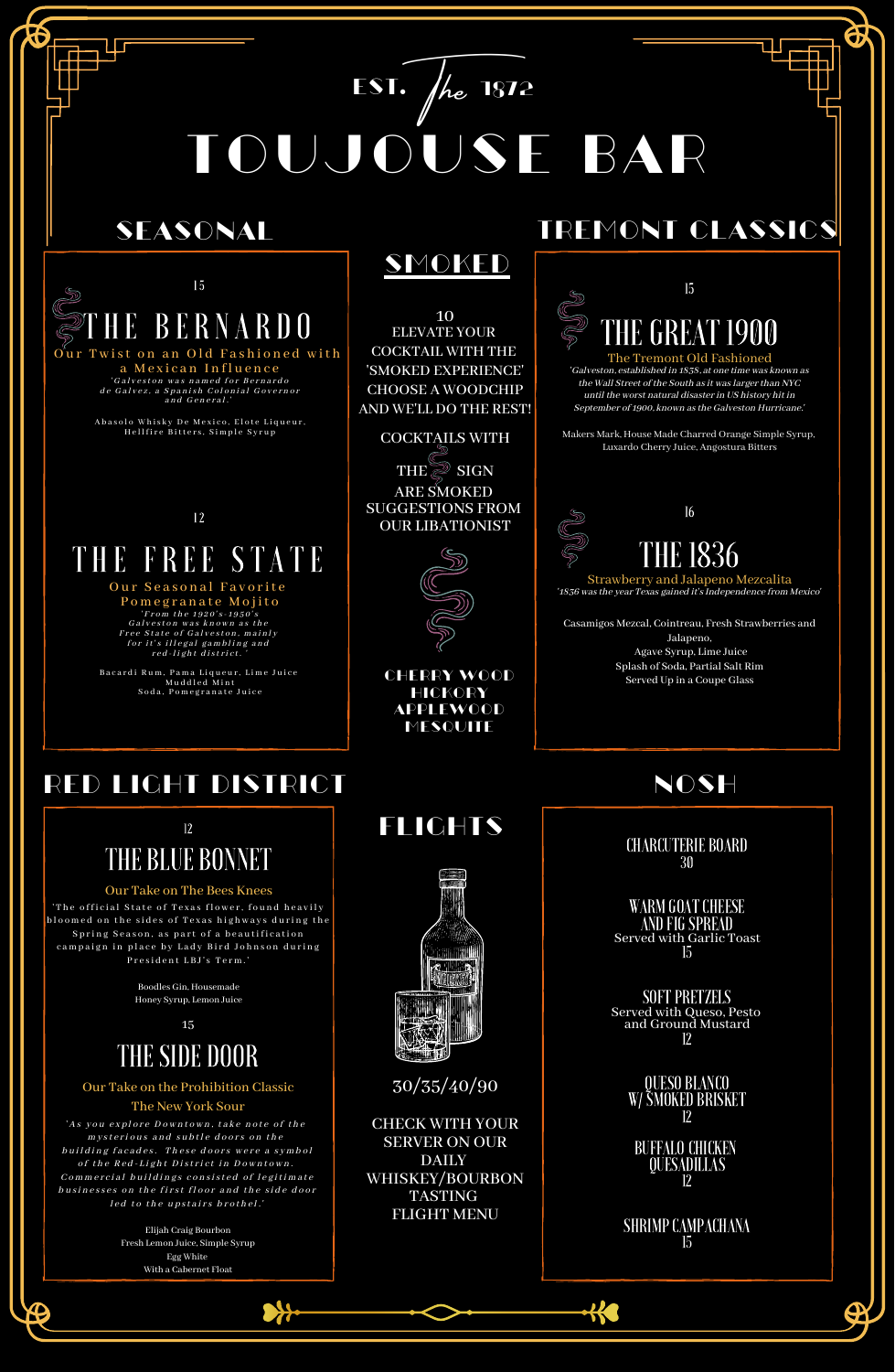

'Galveston, established in 1838, at one time was known as the Wall Street of the South as it was larger than NYC until the worst natural disasterin US history hit in September of 1900, known as the Galveston Hurricane.'

Strawberry and Jalapeno Mezcalita '1836 was the year Texas gained it's Independence from Mexico'

Makers Mark, House Made Charred Orange Simple Syrup, Luxardo Cherry Juice, Angostura Bitters

| - 15        |  |
|-------------|--|
| HE BERNARDO |  |

### Our Twist on an Old Fashioned with a Mexican Influence 'Galveston was named for Bernardo

de Galvez, a Spanish Colonial Governor and General.'

Abasolo Whisky De Mexico, Elote Liqueur, Hellfire Bitters, Simple Syrup



Casamigos Mezcal, Cointreau, Fresh Strawberries and Jalapeno, Agave Syrup, Lime Juice Splash of Soda, Partial Salt Rim Served Up in a Coupe Glass

# RED LIGHT DISTRICT NOSH

flights



### COCKTAILS WITH **THE SIGN**

WARM GOAT CHEESE AND FIG SPREAD Served with Garlic Toast 15

**SOFT PRETZELS** Served with Queso, Pesto and Ground Mustard 12 QUESO BLANCO W/SMOKED BRISKET 12 BUFFALO CHICKEN QUESADILLAS 12 SHRIMP CAMPACHANA 15

**K** W

12

# THE FREE STATE

### Our Seasonal Favorite

Pomegranate Mojito ' From the 1920's - 1950's Galveston was known as the Free State of Galveston, mainly for it's illegal gambling and red -light district.'

Bacardi Rum, Pama Liqueur, Lime Juice Muddled Mint Soda, Pomegranate Juice

10 ELEVATE YOUR COCKTAIL WITH THE 'SMOKED EXPERIENCE' CHOOSE A WOODCHIP AND WE'LL DO THE REST!

> Cherry Wood **HICKORY** Applewood **MESQUITE**

## SEASONAL TREMONT CLASSICS

ARE SMOKED SUGGESTIONS FROM OUR LIBATIONIST



# SMOKED

CHARCUTERIE BOARD 30

TOUJOUSE BAR

 $ESI.$   $\int$ *he*  $1872$ 

30/35/40/90

CHECK WITH YOUR SERVER ON OUR DAILY WHISKEY/BOURBON TASTING FLIGHT MENU



#### Our Take on The Bees Knees

'The official State of Texas flower, found heavily bloomed on the sides of Texas highways during the Spring Season, as part of a beautification campaign in place by Lady Bird Johnson during President LBJ's Term.'

Boodles Gin, Housemade

Honey Syrup, Lemon Juice

15

### THESIDE DOOR

#### Our Take on the Prohibition Classic The New York Sour

'As you explore Downtown, take note of the mysterious and subtle doors on the building facades. These doors were a symbol of the Red-Light District in Downtown. Commercial buildings consisted of legitimate businesses on the first floor and the side door led to the upstairs brothel.'

> Elijah Craig Bourbon Fresh Lemon Juice, Simple Syrup Egg White With a Cabernet Float